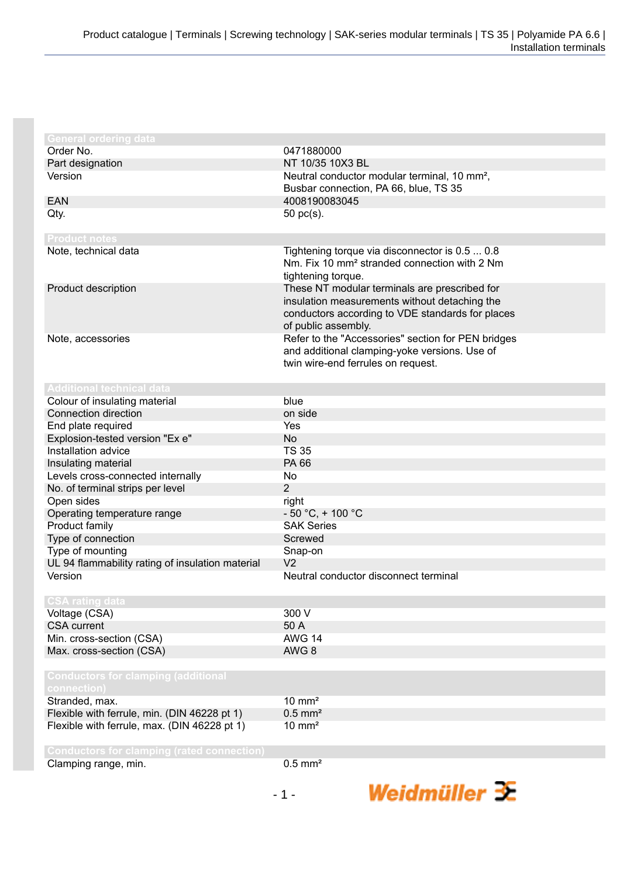| <b>General ordering data</b>                                      |                                                          |
|-------------------------------------------------------------------|----------------------------------------------------------|
| Order No.                                                         | 0471880000                                               |
| Part designation                                                  | NT 10/35 10X3 BL                                         |
| Version                                                           | Neutral conductor modular terminal, 10 mm <sup>2</sup> , |
|                                                                   | Busbar connection, PA 66, blue, TS 35                    |
| <b>EAN</b>                                                        | 4008190083045                                            |
| Qty.                                                              | 50 pc(s).                                                |
|                                                                   |                                                          |
| <b>Product notes</b>                                              |                                                          |
| Note, technical data                                              | Tightening torque via disconnector is 0.5  0.8           |
|                                                                   | Nm. Fix 10 mm <sup>2</sup> stranded connection with 2 Nm |
|                                                                   | tightening torque.                                       |
| Product description                                               | These NT modular terminals are prescribed for            |
|                                                                   | insulation measurements without detaching the            |
|                                                                   | conductors according to VDE standards for places         |
|                                                                   | of public assembly.                                      |
| Note, accessories                                                 | Refer to the "Accessories" section for PEN bridges       |
|                                                                   | and additional clamping-yoke versions. Use of            |
|                                                                   | twin wire-end ferrules on request.                       |
|                                                                   |                                                          |
| <b>Additional technical data</b><br>Colour of insulating material | blue                                                     |
| Connection direction                                              | on side                                                  |
|                                                                   |                                                          |
| End plate required                                                | Yes<br><b>No</b>                                         |
| Explosion-tested version "Ex e"                                   |                                                          |
| Installation advice                                               | <b>TS 35</b>                                             |
| Insulating material                                               | PA 66                                                    |
| Levels cross-connected internally                                 | No                                                       |
| No. of terminal strips per level                                  | $\overline{2}$                                           |
| Open sides                                                        | right                                                    |
| Operating temperature range                                       | $-50 °C$ , + 100 °C                                      |
| Product family                                                    | <b>SAK Series</b>                                        |
| Type of connection                                                | Screwed                                                  |
| Type of mounting                                                  | Snap-on                                                  |
| UL 94 flammability rating of insulation material                  | V <sub>2</sub>                                           |
| Version                                                           | Neutral conductor disconnect terminal                    |
| <b>CSA rating data</b>                                            |                                                          |
| Voltage (CSA)                                                     | 300 V                                                    |
| <b>CSA</b> current                                                | 50 A                                                     |
| Min. cross-section (CSA)                                          | <b>AWG 14</b>                                            |
| Max. cross-section (CSA)                                          | AWG 8                                                    |
|                                                                   |                                                          |
| <b>Conductors for clamping (additional</b>                        |                                                          |
| connection)                                                       |                                                          |
| Stranded, max.                                                    | $10 \text{ mm}^2$                                        |
| Flexible with ferrule, min. (DIN 46228 pt 1)                      | $0.5$ mm <sup>2</sup>                                    |
| Flexible with ferrule, max. (DIN 46228 pt 1)                      | $10 \text{ mm}^2$                                        |
|                                                                   |                                                          |
| <b>Conductors for clamping (rated connection)</b>                 |                                                          |
| Clamping range, min.                                              | $0.5$ mm <sup>2</sup>                                    |
|                                                                   |                                                          |

Weidmüller 3E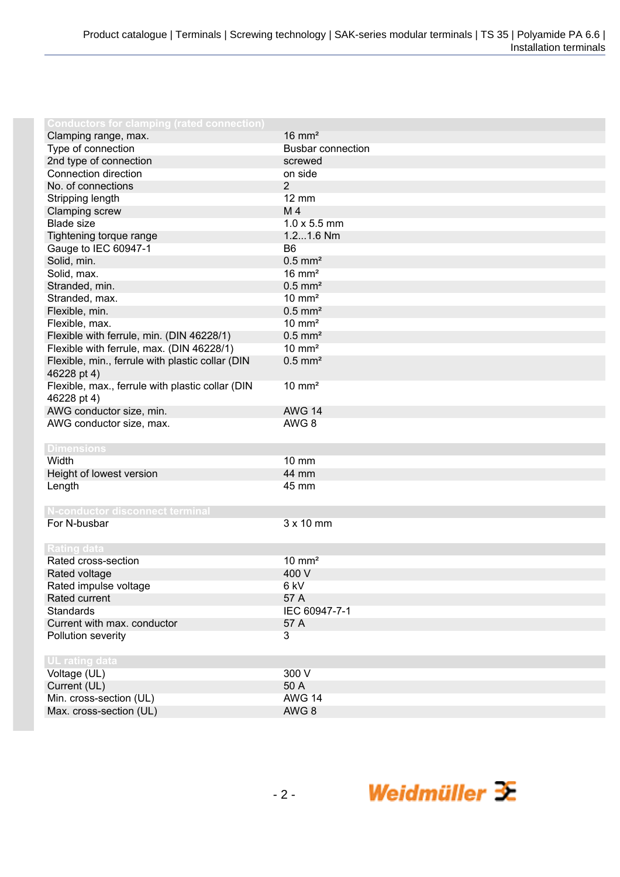| <b>Conductors for clamping (rated connection)</b> |                          |
|---------------------------------------------------|--------------------------|
| Clamping range, max.                              | $16 \text{ mm}^2$        |
| Type of connection                                | <b>Busbar connection</b> |
| 2nd type of connection                            | screwed                  |
| Connection direction                              | on side                  |
| No. of connections                                | $\overline{2}$           |
| Stripping length                                  | <b>12 mm</b>             |
| Clamping screw                                    | M 4                      |
| <b>Blade size</b>                                 | $1.0 \times 5.5$ mm      |
| Tightening torque range                           | 1.21.6 Nm                |
| Gauge to IEC 60947-1                              | B <sub>6</sub>           |
| Solid, min.                                       | $0.5$ mm <sup>2</sup>    |
| Solid, max.                                       | $16 \text{ mm}^2$        |
| Stranded, min.                                    | $0.5$ mm <sup>2</sup>    |
| Stranded, max.                                    | $10 \text{ mm}^2$        |
| Flexible, min.                                    | $0.5$ mm <sup>2</sup>    |
| Flexible, max.                                    | $10 \text{ mm}^2$        |
| Flexible with ferrule, min. (DIN 46228/1)         | $0.5$ mm <sup>2</sup>    |
| Flexible with ferrule, max. (DIN 46228/1)         | $10 \text{ mm}^2$        |
| Flexible, min., ferrule with plastic collar (DIN  | $0.5$ mm <sup>2</sup>    |
| 46228 pt 4)                                       |                          |
| Flexible, max., ferrule with plastic collar (DIN  | $10 \text{ mm}^2$        |
| 46228 pt 4)                                       |                          |
| AWG conductor size, min.                          | <b>AWG 14</b>            |
| AWG conductor size, max.                          | AWG <sub>8</sub>         |
|                                                   |                          |
| <b>Dimensions</b>                                 |                          |
| Width                                             | $10 \text{ mm}$          |
| Height of lowest version                          | 44 mm                    |
| Length                                            | 45 mm                    |
|                                                   |                          |
| N-conductor disconnect terminal                   |                          |
| For N-busbar                                      | 3 x 10 mm                |
|                                                   |                          |
| <b>Rating data</b>                                |                          |
| Rated cross-section                               | $10 \text{ mm}^2$        |
| Rated voltage                                     | 400 V                    |
| Rated impulse voltage                             | 6 kV                     |
| Rated current                                     | 57 A                     |
| <b>Standards</b>                                  | IEC 60947-7-1            |
| Current with max. conductor                       | 57 A                     |
| Pollution severity                                | 3                        |
|                                                   |                          |
| UL rating data                                    |                          |
| Voltage (UL)                                      | 300 V                    |
| Current (UL)                                      | 50 A                     |
| Min. cross-section (UL)                           | <b>AWG 14</b>            |
| Max. cross-section (UL)                           | AWG 8                    |